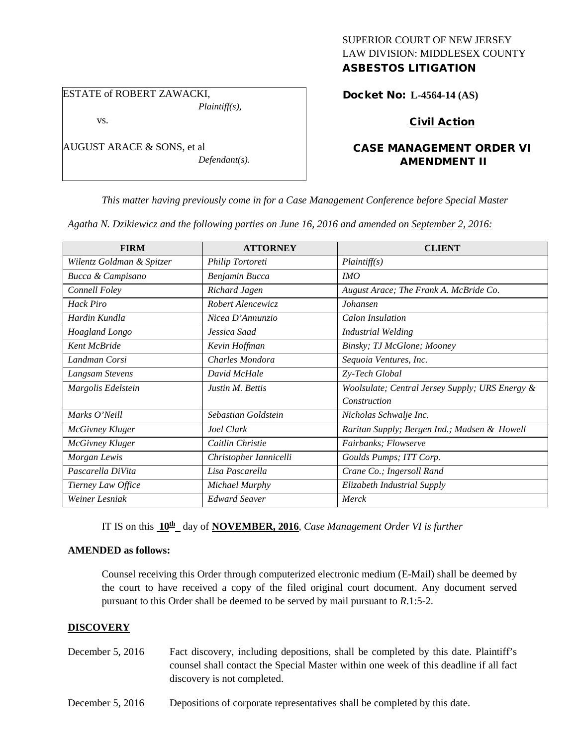# SUPERIOR COURT OF NEW JERSEY LAW DIVISION: MIDDLESEX COUNTY ASBESTOS LITIGATION

ESTATE of ROBERT ZAWACKI,

vs.

AUGUST ARACE & SONS, et al *Defendant(s).* Docket No: **L-4564-14 (AS)** 

Civil Action

# CASE MANAGEMENT ORDER VI AMENDMENT II

*This matter having previously come in for a Case Management Conference before Special Master* 

*Agatha N. Dzikiewicz and the following parties on June 16, 2016 and amended on September 2, 2016:*

*Plaintiff(s),*

| <b>FIRM</b>               | <b>ATTORNEY</b>        | <b>CLIENT</b>                                   |
|---------------------------|------------------------|-------------------------------------------------|
| Wilentz Goldman & Spitzer | Philip Tortoreti       | Plaintiff(s)                                    |
| Bucca & Campisano         | Benjamin Bucca         | IMO                                             |
| Connell Foley             | Richard Jagen          | August Arace; The Frank A. McBride Co.          |
| Hack Piro                 | Robert Alencewicz      | Johansen                                        |
| Hardin Kundla             | Nicea D'Annunzio       | <b>Calon Insulation</b>                         |
| Hoagland Longo            | Jessica Saad           | <b>Industrial Welding</b>                       |
| Kent McBride              | Kevin Hoffman          | Binsky; TJ McGlone; Mooney                      |
| Landman Corsi             | Charles Mondora        | Sequoia Ventures, Inc.                          |
| Langsam Stevens           | David McHale           | Zy-Tech Global                                  |
| Margolis Edelstein        | Justin M. Bettis       | Woolsulate; Central Jersey Supply; URS Energy & |
|                           |                        | Construction                                    |
| Marks O'Neill             | Sebastian Goldstein    | Nicholas Schwalje Inc.                          |
| McGivney Kluger           | Joel Clark             | Raritan Supply; Bergen Ind.; Madsen & Howell    |
| McGivney Kluger           | Caitlin Christie       | Fairbanks; Flowserve                            |
| Morgan Lewis              | Christopher Iannicelli | Goulds Pumps; ITT Corp.                         |
| Pascarella DiVita         | Lisa Pascarella        | Crane Co.; Ingersoll Rand                       |
| Tierney Law Office        | Michael Murphy         | Elizabeth Industrial Supply                     |
| Weiner Lesniak            | <b>Edward Seaver</b>   | Merck                                           |

IT IS on this  $10^{\text{th}}$  day of **NOVEMBER, 2016**, *Case Management Order VI is further* 

### **AMENDED as follows:**

Counsel receiving this Order through computerized electronic medium (E-Mail) shall be deemed by the court to have received a copy of the filed original court document. Any document served pursuant to this Order shall be deemed to be served by mail pursuant to *R*.1:5-2.

# **DISCOVERY**

- December 5, 2016 Fact discovery, including depositions, shall be completed by this date. Plaintiff's counsel shall contact the Special Master within one week of this deadline if all fact discovery is not completed.
- December 5, 2016 Depositions of corporate representatives shall be completed by this date.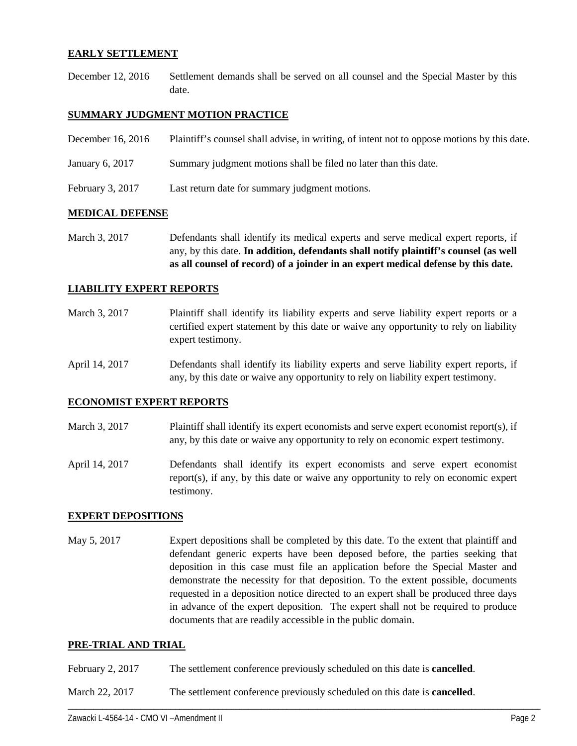## **EARLY SETTLEMENT**

December 12, 2016 Settlement demands shall be served on all counsel and the Special Master by this date.

## **SUMMARY JUDGMENT MOTION PRACTICE**

| December 16, 2016 | Plaintiff's counsel shall advise, in writing, of intent not to oppose motions by this date. |
|-------------------|---------------------------------------------------------------------------------------------|
| January 6, 2017   | Summary judgment motions shall be filed no later than this date.                            |
| February 3, 2017  | Last return date for summary judgment motions.                                              |

### **MEDICAL DEFENSE**

March 3, 2017 Defendants shall identify its medical experts and serve medical expert reports, if any, by this date. **In addition, defendants shall notify plaintiff's counsel (as well as all counsel of record) of a joinder in an expert medical defense by this date.**

#### **LIABILITY EXPERT REPORTS**

- March 3, 2017 Plaintiff shall identify its liability experts and serve liability expert reports or a certified expert statement by this date or waive any opportunity to rely on liability expert testimony.
- April 14, 2017 Defendants shall identify its liability experts and serve liability expert reports, if any, by this date or waive any opportunity to rely on liability expert testimony.

#### **ECONOMIST EXPERT REPORTS**

- March 3, 2017 Plaintiff shall identify its expert economists and serve expert economist report(s), if any, by this date or waive any opportunity to rely on economic expert testimony.
- April 14, 2017 Defendants shall identify its expert economists and serve expert economist report(s), if any, by this date or waive any opportunity to rely on economic expert testimony.

### **EXPERT DEPOSITIONS**

May 5, 2017 Expert depositions shall be completed by this date. To the extent that plaintiff and defendant generic experts have been deposed before, the parties seeking that deposition in this case must file an application before the Special Master and demonstrate the necessity for that deposition. To the extent possible, documents requested in a deposition notice directed to an expert shall be produced three days in advance of the expert deposition. The expert shall not be required to produce documents that are readily accessible in the public domain.

### **PRE-TRIAL AND TRIAL**

- February 2, 2017 The settlement conference previously scheduled on this date is **cancelled**.
- March 22, 2017 The settlement conference previously scheduled on this date is **cancelled**.

\_\_\_\_\_\_\_\_\_\_\_\_\_\_\_\_\_\_\_\_\_\_\_\_\_\_\_\_\_\_\_\_\_\_\_\_\_\_\_\_\_\_\_\_\_\_\_\_\_\_\_\_\_\_\_\_\_\_\_\_\_\_\_\_\_\_\_\_\_\_\_\_\_\_\_\_\_\_\_\_\_\_\_\_\_\_\_\_\_\_\_\_\_\_\_\_\_\_\_\_\_\_\_\_\_\_\_\_\_\_